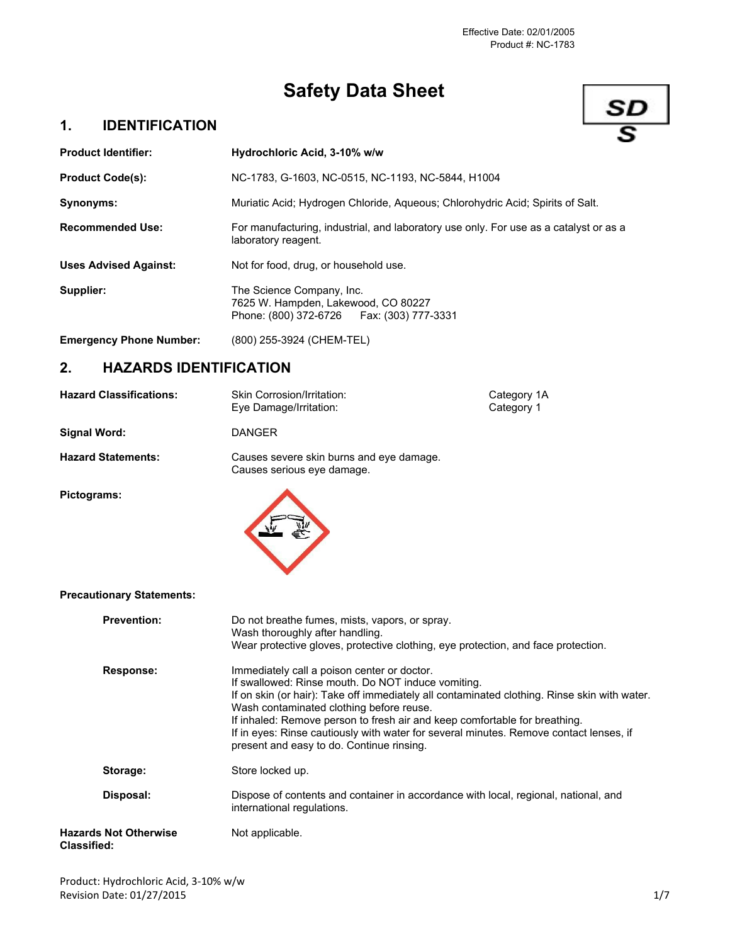# **Safety Data Sheet**

## **1. IDENTIFICATION**



| <b>Product Identifier:</b>     | Hydrochloric Acid, 3-10% w/w                                                                                     |
|--------------------------------|------------------------------------------------------------------------------------------------------------------|
| <b>Product Code(s):</b>        | NC-1783, G-1603, NC-0515, NC-1193, NC-5844, H1004                                                                |
| Synonyms:                      | Muriatic Acid; Hydrogen Chloride, Agueous; Chlorohydric Acid; Spirits of Salt.                                   |
| <b>Recommended Use:</b>        | For manufacturing, industrial, and laboratory use only. For use as a catalyst or as a<br>laboratory reagent.     |
| <b>Uses Advised Against:</b>   | Not for food, drug, or household use.                                                                            |
| <b>Supplier:</b>               | The Science Company, Inc.<br>7625 W. Hampden, Lakewood, CO 80227<br>Phone: (800) 372-6726    Fax: (303) 777-3331 |
| <b>Emergency Phone Number:</b> | (800) 255-3924 (CHEM-TEL)                                                                                        |
|                                |                                                                                                                  |

## **2. HAZARDS IDENTIFICATION**

| <b>Hazard Classifications:</b>   | Skin Corrosion/Irritation:<br>Eye Damage/Irritation:                                                                                                                                                                                          | Category 1A<br>Category 1 |
|----------------------------------|-----------------------------------------------------------------------------------------------------------------------------------------------------------------------------------------------------------------------------------------------|---------------------------|
| Signal Word:                     | <b>DANGER</b>                                                                                                                                                                                                                                 |                           |
| <b>Hazard Statements:</b>        | Causes severe skin burns and eye damage.<br>Causes serious eye damage.                                                                                                                                                                        |                           |
| Pictograms:                      |                                                                                                                                                                                                                                               |                           |
| <b>Precautionary Statements:</b> |                                                                                                                                                                                                                                               |                           |
| <b>Prevention:</b>               | Do not breathe fumes, mists, vapors, or spray.<br>Wash thoroughly after handling.<br>Wear protective gloves, protective clothing, eye protection, and face protection.                                                                        |                           |
| Response:                        | Immediately call a poison center or doctor.<br>If swallowed: Rinse mouth. Do NOT induce vomiting.<br>If on skin (or hair): Take off immediately all contaminated clothing. Rinse skin with water.<br>Wash contaminated clothing before reuse. |                           |

present and easy to do. Continue rinsing.

international regulations.

**Disposal:** Dispose of contents and container in accordance with local, regional, national, and

If inhaled: Remove person to fresh air and keep comfortable for breathing.

If in eyes: Rinse cautiously with water for several minutes. Remove contact lenses, if

**Classified:**

**Hazards Not Otherwise** Not applicable.

Storage: Store locked up.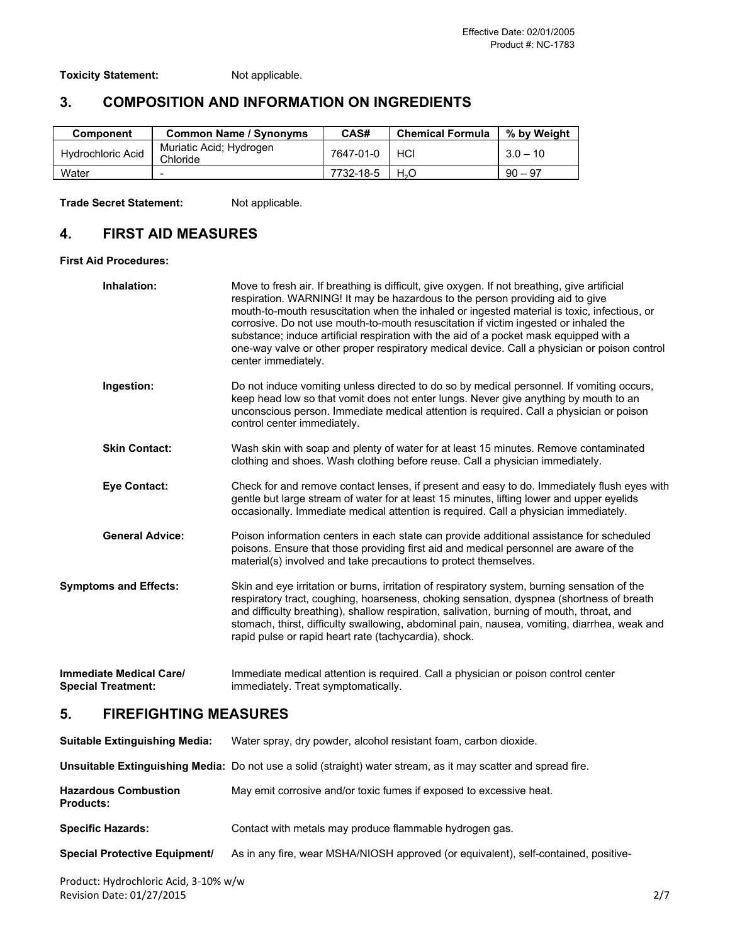**Toxicity Statement:** Not applicable.

## **3. COMPOSITION AND INFORMATION ON INGREDIENTS**

| <b>Component</b>         | <b>Common Name / Synonyms</b>       | CAS#      | <b>Chemical Formula</b> | % by Weight |
|--------------------------|-------------------------------------|-----------|-------------------------|-------------|
| <b>Hydrochloric Acid</b> | Muriatic Acid; Hydrogen<br>Chloride | 7647-01-0 | HCI                     | $3.0 - 10$  |
| Water                    | -                                   | 7732-18-5 | $H_2O$                  | $90 - 97$   |

**Trade Secret Statement:** Not applicable.

# **4. FIRST AID MEASURES**

**First Aid Procedures:**

|    | Inhalation:                                                 | Move to fresh air. If breathing is difficult, give oxygen. If not breathing, give artificial<br>respiration. WARNING! It may be hazardous to the person providing aid to give<br>mouth-to-mouth resuscitation when the inhaled or ingested material is toxic, infectious, or<br>corrosive. Do not use mouth-to-mouth resuscitation if victim ingested or inhaled the<br>substance; induce artificial respiration with the aid of a pocket mask equipped with a<br>one-way valve or other proper respiratory medical device. Call a physician or poison control<br>center immediately. |
|----|-------------------------------------------------------------|---------------------------------------------------------------------------------------------------------------------------------------------------------------------------------------------------------------------------------------------------------------------------------------------------------------------------------------------------------------------------------------------------------------------------------------------------------------------------------------------------------------------------------------------------------------------------------------|
|    | Ingestion:                                                  | Do not induce vomiting unless directed to do so by medical personnel. If vomiting occurs,<br>keep head low so that vomit does not enter lungs. Never give anything by mouth to an<br>unconscious person. Immediate medical attention is required. Call a physician or poison<br>control center immediately.                                                                                                                                                                                                                                                                           |
|    | <b>Skin Contact:</b>                                        | Wash skin with soap and plenty of water for at least 15 minutes. Remove contaminated<br>clothing and shoes. Wash clothing before reuse. Call a physician immediately.                                                                                                                                                                                                                                                                                                                                                                                                                 |
|    | <b>Eye Contact:</b>                                         | Check for and remove contact lenses, if present and easy to do. Immediately flush eyes with<br>gentle but large stream of water for at least 15 minutes, lifting lower and upper eyelids<br>occasionally. Immediate medical attention is required. Call a physician immediately.                                                                                                                                                                                                                                                                                                      |
|    | <b>General Advice:</b>                                      | Poison information centers in each state can provide additional assistance for scheduled<br>poisons. Ensure that those providing first aid and medical personnel are aware of the<br>material(s) involved and take precautions to protect themselves.                                                                                                                                                                                                                                                                                                                                 |
|    | <b>Symptoms and Effects:</b>                                | Skin and eye irritation or burns, irritation of respiratory system, burning sensation of the<br>respiratory tract, coughing, hoarseness, choking sensation, dyspnea (shortness of breath<br>and difficulty breathing), shallow respiration, salivation, burning of mouth, throat, and<br>stomach, thirst, difficulty swallowing, abdominal pain, nausea, vomiting, diarrhea, weak and<br>rapid pulse or rapid heart rate (tachycardia), shock.                                                                                                                                        |
|    | <b>Immediate Medical Care/</b><br><b>Special Treatment:</b> | Immediate medical attention is required. Call a physician or poison control center<br>immediately. Treat symptomatically.                                                                                                                                                                                                                                                                                                                                                                                                                                                             |
| 5. | <b>FIREFIGHTING MEASURES</b>                                |                                                                                                                                                                                                                                                                                                                                                                                                                                                                                                                                                                                       |
|    | <b>Suitable Extinguishing Media:</b>                        | Water spray, dry powder, alcohol resistant foam, carbon dioxide.                                                                                                                                                                                                                                                                                                                                                                                                                                                                                                                      |
|    |                                                             | Unsuitable Extinguishing Media: Do not use a solid (straight) water stream, as it may scatter and spread fire.                                                                                                                                                                                                                                                                                                                                                                                                                                                                        |

|                                                 | whomis extends in only most and do not doo a bond (budishit) mator ou barri, as it may boatter and oprodume. |
|-------------------------------------------------|--------------------------------------------------------------------------------------------------------------|
| <b>Hazardous Combustion</b><br><b>Products:</b> | May emit corrosive and/or toxic fumes if exposed to excessive heat.                                          |
| <b>Specific Hazards:</b>                        | Contact with metals may produce flammable hydrogen gas.                                                      |
| <b>Special Protective Equipment/</b>            | As in any fire, wear MSHA/NIOSH approved (or equivalent), self-contained, positive-                          |
|                                                 |                                                                                                              |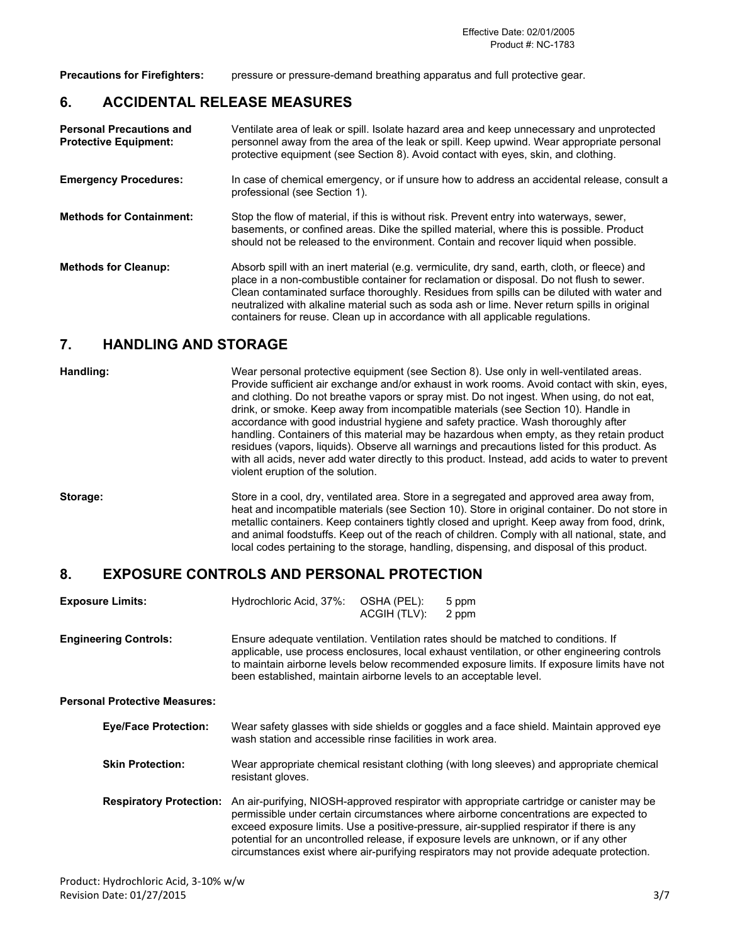**Precautions for Firefighters:** pressure or pressure-demand breathing apparatus and full protective gear.

#### **6. ACCIDENTAL RELEASE MEASURES**

| <b>Personal Precautions and</b><br><b>Protective Equipment:</b> | Ventilate area of leak or spill. Isolate hazard area and keep unnecessary and unprotected<br>personnel away from the area of the leak or spill. Keep upwind. Wear appropriate personal<br>protective equipment (see Section 8). Avoid contact with eyes, skin, and clothing.                                                                                                                                                                                            |
|-----------------------------------------------------------------|-------------------------------------------------------------------------------------------------------------------------------------------------------------------------------------------------------------------------------------------------------------------------------------------------------------------------------------------------------------------------------------------------------------------------------------------------------------------------|
| <b>Emergency Procedures:</b>                                    | In case of chemical emergency, or if unsure how to address an accidental release, consult a<br>professional (see Section 1).                                                                                                                                                                                                                                                                                                                                            |
| <b>Methods for Containment:</b>                                 | Stop the flow of material, if this is without risk. Prevent entry into waterways, sewer,<br>basements, or confined areas. Dike the spilled material, where this is possible. Product<br>should not be released to the environment. Contain and recover liquid when possible.                                                                                                                                                                                            |
| <b>Methods for Cleanup:</b>                                     | Absorb spill with an inert material (e.g. vermiculite, dry sand, earth, cloth, or fleece) and<br>place in a non-combustible container for reclamation or disposal. Do not flush to sewer.<br>Clean contaminated surface thoroughly. Residues from spills can be diluted with water and<br>neutralized with alkaline material such as soda ash or lime. Never return spills in original<br>containers for reuse. Clean up in accordance with all applicable regulations. |

## **7. HANDLING AND STORAGE**

Handling: **Handling:** Wear personal protective equipment (see Section 8). Use only in well-ventilated areas. Provide sufficient air exchange and/or exhaust in work rooms. Avoid contact with skin, eyes, and clothing. Do not breathe vapors or spray mist. Do not ingest. When using, do not eat, drink, or smoke. Keep away from incompatible materials (see Section 10). Handle in accordance with good industrial hygiene and safety practice. Wash thoroughly after handling. Containers of this material may be hazardous when empty, as they retain product residues (vapors, liquids). Observe all warnings and precautions listed for this product. As with all acids, never add water directly to this product. Instead, add acids to water to prevent violent eruption of the solution.

**Storage:** Store in a cool, dry, ventilated area. Store in a segregated and approved area away from, heat and incompatible materials (see Section 10). Store in original container. Do not store in metallic containers. Keep containers tightly closed and upright. Keep away from food, drink, and animal foodstuffs. Keep out of the reach of children. Comply with all national, state, and local codes pertaining to the storage, handling, dispensing, and disposal of this product.

#### **8. EXPOSURE CONTROLS AND PERSONAL PROTECTION**

| <b>Exposure Limits:</b> | Hydrochloric Acid, 37%: OSHA (PEL): 5 ppm |                    |  |
|-------------------------|-------------------------------------------|--------------------|--|
|                         |                                           | ACGIH (TLV): 2 ppm |  |

**Engineering Controls:** Ensure adequate ventilation. Ventilation rates should be matched to conditions. If applicable, use process enclosures, local exhaust ventilation, or other engineering controls to maintain airborne levels below recommended exposure limits. If exposure limits have not been established, maintain airborne levels to an acceptable level.

#### **Personal Protective Measures:**

| <b>Eye/Face Protection:</b> | Wear safety glasses with side shields or goggles and a face shield. Maintain approved eye<br>wash station and accessible rinse facilities in work area.                                                                                                                                                |
|-----------------------------|--------------------------------------------------------------------------------------------------------------------------------------------------------------------------------------------------------------------------------------------------------------------------------------------------------|
| <b>Skin Protection:</b>     | Wear appropriate chemical resistant clothing (with long sleeves) and appropriate chemical<br>resistant gloves.                                                                                                                                                                                         |
|                             | Respiratory Protection: An air-purifying, NIOSH-approved respirator with appropriate cartridge or canister may be<br>permissible under certain circumstances where airborne concentrations are expected to<br>exceed exposure limits. Use a positive-pressure, air-supplied respirator if there is any |

potential for an uncontrolled release, if exposure levels are unknown, or if any other circumstances exist where air-purifying respirators may not provide adequate protection.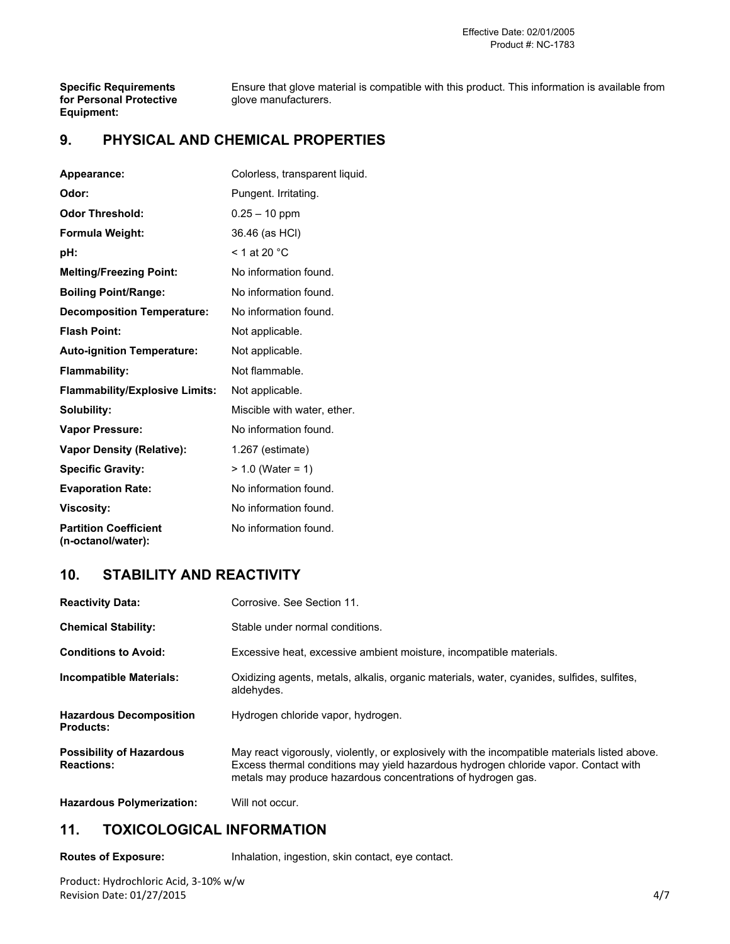#### Effective Date: 02/01/2005 Product #: NC1783

**for Personal Protective Equipment:**

**Specific Requirements** Ensure that glove material is compatible with this product. This information is available from **for Personal Protective** glove manufacturers.

## **9. PHYSICAL AND CHEMICAL PROPERTIES**

| Appearance:                                        | Colorless, transparent liquid. |
|----------------------------------------------------|--------------------------------|
| Odor:                                              | Pungent. Irritating.           |
| <b>Odor Threshold:</b>                             | $0.25 - 10$ ppm                |
| Formula Weight:                                    | 36.46 (as HCI)                 |
| pH:                                                | $<$ 1 at 20 $^{\circ}$ C       |
| <b>Melting/Freezing Point:</b>                     | No information found.          |
| <b>Boiling Point/Range:</b>                        | No information found.          |
| <b>Decomposition Temperature:</b>                  | No information found.          |
| <b>Flash Point:</b>                                | Not applicable.                |
| <b>Auto-ignition Temperature:</b>                  | Not applicable.                |
| <b>Flammability:</b>                               | Not flammable.                 |
| <b>Flammability/Explosive Limits:</b>              | Not applicable.                |
| Solubility:                                        | Miscible with water, ether,    |
| <b>Vapor Pressure:</b>                             | No information found.          |
| <b>Vapor Density (Relative):</b>                   | 1.267 (estimate)               |
| <b>Specific Gravity:</b>                           | $> 1.0$ (Water = 1)            |
| <b>Evaporation Rate:</b>                           | No information found.          |
| <b>Viscosity:</b>                                  | No information found.          |
| <b>Partition Coefficient</b><br>(n-octanol/water): | No information found.          |

## **10. STABILITY AND REACTIVITY**

| <b>Reactivity Data:</b>                              | Corrosive. See Section 11.                                                                                                                                                                                                                           |
|------------------------------------------------------|------------------------------------------------------------------------------------------------------------------------------------------------------------------------------------------------------------------------------------------------------|
| <b>Chemical Stability:</b>                           | Stable under normal conditions.                                                                                                                                                                                                                      |
| <b>Conditions to Avoid:</b>                          | Excessive heat, excessive ambient moisture, incompatible materials.                                                                                                                                                                                  |
| <b>Incompatible Materials:</b>                       | Oxidizing agents, metals, alkalis, organic materials, water, cyanides, sulfides, sulfites,<br>aldehydes.                                                                                                                                             |
| <b>Hazardous Decomposition</b><br><b>Products:</b>   | Hydrogen chloride vapor, hydrogen.                                                                                                                                                                                                                   |
| <b>Possibility of Hazardous</b><br><b>Reactions:</b> | May react vigorously, violently, or explosively with the incompatible materials listed above.<br>Excess thermal conditions may yield hazardous hydrogen chloride vapor. Contact with<br>metals may produce hazardous concentrations of hydrogen gas. |
| <b>Hazardous Polymerization:</b>                     | Will not occur.                                                                                                                                                                                                                                      |

## **11. TOXICOLOGICAL INFORMATION**

**Routes of Exposure:** Inhalation, ingestion, skin contact, eye contact.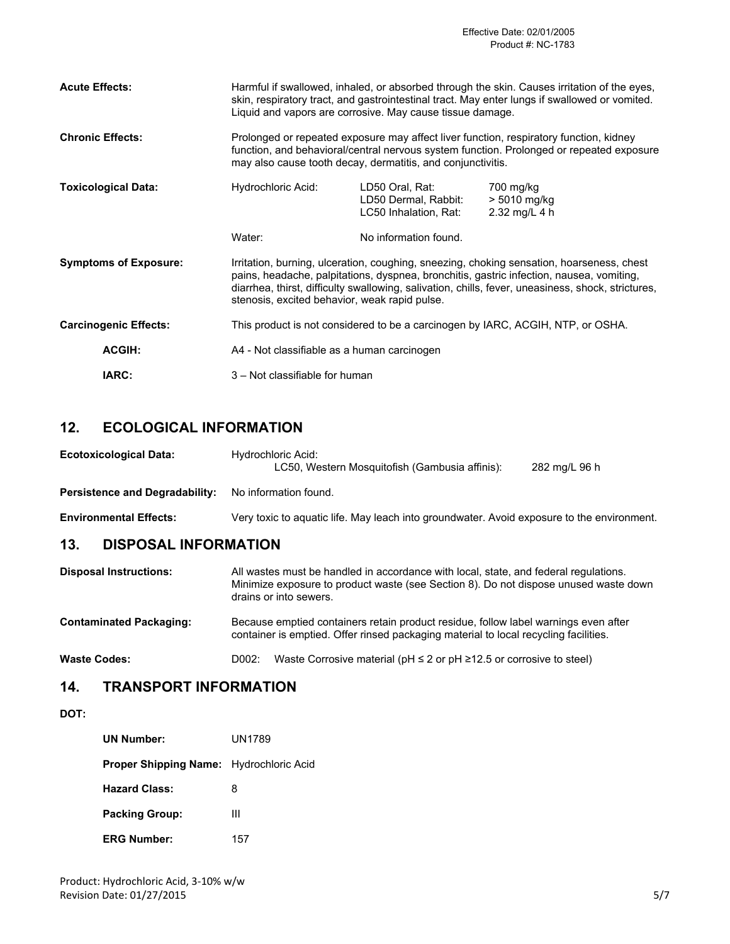| <b>Acute Effects:</b>        | Harmful if swallowed, inhaled, or absorbed through the skin. Causes irritation of the eyes,<br>skin, respiratory tract, and gastrointestinal tract. May enter lungs if swallowed or vomited.<br>Liquid and vapors are corrosive. May cause tissue damage.                                                                                    |                                                                  |                                            |
|------------------------------|----------------------------------------------------------------------------------------------------------------------------------------------------------------------------------------------------------------------------------------------------------------------------------------------------------------------------------------------|------------------------------------------------------------------|--------------------------------------------|
| <b>Chronic Effects:</b>      | Prolonged or repeated exposure may affect liver function, respiratory function, kidney<br>function, and behavioral/central nervous system function. Prolonged or repeated exposure<br>may also cause tooth decay, dermatitis, and conjunctivitis.                                                                                            |                                                                  |                                            |
| <b>Toxicological Data:</b>   | Hydrochloric Acid:                                                                                                                                                                                                                                                                                                                           | LD50 Oral, Rat:<br>LD50 Dermal, Rabbit:<br>LC50 Inhalation, Rat: | 700 mg/kg<br>> 5010 mg/kg<br>2.32 mg/L 4 h |
|                              | Water:                                                                                                                                                                                                                                                                                                                                       | No information found.                                            |                                            |
| <b>Symptoms of Exposure:</b> | Irritation, burning, ulceration, coughing, sneezing, choking sensation, hoarseness, chest<br>pains, headache, palpitations, dyspnea, bronchitis, gastric infection, nausea, vomiting,<br>diarrhea, thirst, difficulty swallowing, salivation, chills, fever, uneasiness, shock, strictures,<br>stenosis, excited behavior, weak rapid pulse. |                                                                  |                                            |
| <b>Carcinogenic Effects:</b> | This product is not considered to be a carcinogen by IARC, ACGIH, NTP, or OSHA.                                                                                                                                                                                                                                                              |                                                                  |                                            |
| <b>ACGIH:</b>                | A4 - Not classifiable as a human carcinogen                                                                                                                                                                                                                                                                                                  |                                                                  |                                            |
| IARC:                        | 3 – Not classifiable for human                                                                                                                                                                                                                                                                                                               |                                                                  |                                            |

## **12. ECOLOGICAL INFORMATION**

| <b>Ecotoxicological Data:</b>         | Hydrochloric Acid:<br>LC50, Western Mosquitofish (Gambusia affinis):                                                                                                         | 282 mg/L 96 h |
|---------------------------------------|------------------------------------------------------------------------------------------------------------------------------------------------------------------------------|---------------|
| <b>Persistence and Degradability:</b> | No information found.                                                                                                                                                        |               |
| <b>Environmental Effects:</b>         | Very toxic to aguatic life. May leach into groundwater. Avoid exposure to the environment.                                                                                   |               |
| 13.<br><b>DISPOSAL INFORMATION</b>    |                                                                                                                                                                              |               |
| <b>Disposal Instructions:</b>         | All wastes must be handled in accordance with local, state, and federal regulations.<br>Minimize exposure to product waste (see Section 8). Do not dispose unused waste down |               |

drains or into sewers. **Contaminated Packaging:** Because emptied containers retain product residue, follow label warnings even after container is emptied. Offer rinsed packaging material to local recycling facilities.

**Waste Codes:** D002: Waste Corrosive material (pH ≤ 2 or pH ≥12.5 or corrosive to steel)

## **14. TRANSPORT INFORMATION**

#### **DOT:**

| <b>UN Number:</b>                              | UN1789 |
|------------------------------------------------|--------|
| <b>Proper Shipping Name:</b> Hydrochloric Acid |        |
| <b>Hazard Class:</b>                           | 8      |
| <b>Packing Group:</b>                          | Ш      |
| <b>ERG Number:</b>                             | 157    |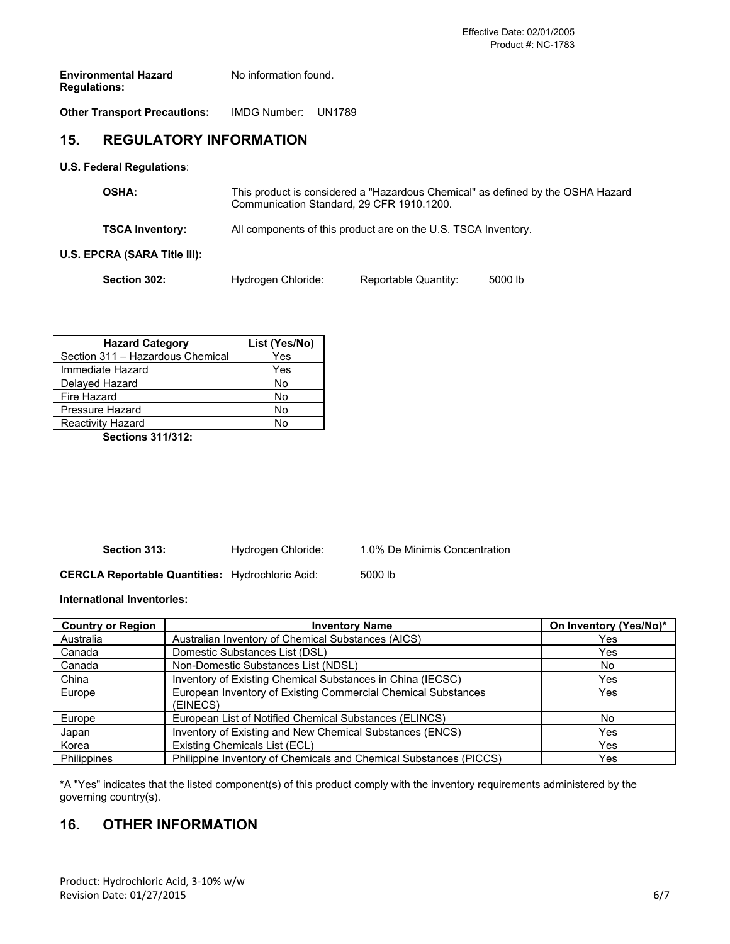| <b>Environmental Hazard</b> | No information found. |
|-----------------------------|-----------------------|
| <b>Regulations:</b>         |                       |

**Other Transport Precautions:** IMDG Number: UN1789

## **15. REGULATORY INFORMATION**

**U.S. Federal Regulations**:

| <b>OSHA:</b>                 | This product is considered a "Hazardous Chemical" as defined by the OSHA Hazard<br>Communication Standard, 29 CFR 1910.1200. |                      |         |
|------------------------------|------------------------------------------------------------------------------------------------------------------------------|----------------------|---------|
| <b>TSCA Inventory:</b>       | All components of this product are on the U.S. TSCA Inventory.                                                               |                      |         |
| U.S. EPCRA (SARA Title III): |                                                                                                                              |                      |         |
| Section 302:                 | Hydrogen Chloride:                                                                                                           | Reportable Quantity: | 5000 lb |

| <b>Hazard Category</b>           | List (Yes/No) |
|----------------------------------|---------------|
| Section 311 - Hazardous Chemical | Yes           |
| Immediate Hazard                 | Yes           |
| Delayed Hazard                   | No            |
| Fire Hazard                      | N٥            |
| Pressure Hazard                  | No            |
| <b>Reactivity Hazard</b>         | N۸            |

**Sections 311/312:**

**Section 313:** Hydrogen Chloride: 1.0% De Minimis Concentration

**CERCLA Reportable Quantities:** Hydrochloric Acid: 5000 lb

**International Inventories:**

| <b>Country or Region</b> | <b>Inventory Name</b>                                                     | On Inventory (Yes/No)* |
|--------------------------|---------------------------------------------------------------------------|------------------------|
| Australia                | Australian Inventory of Chemical Substances (AICS)                        | Yes                    |
| Canada                   | Domestic Substances List (DSL)                                            | Yes                    |
| Canada                   | Non-Domestic Substances List (NDSL)                                       | No                     |
| China                    | Inventory of Existing Chemical Substances in China (IECSC)                | Yes                    |
| Europe                   | European Inventory of Existing Commercial Chemical Substances<br>(EINECS) | Yes                    |
| Europe                   | European List of Notified Chemical Substances (ELINCS)                    | No                     |
| Japan                    | Inventory of Existing and New Chemical Substances (ENCS)                  | Yes                    |
| Korea                    | Existing Chemicals List (ECL)                                             | Yes                    |
| Philippines              | Philippine Inventory of Chemicals and Chemical Substances (PICCS)         | Yes                    |

\*A "Yes" indicates that the listed component(s) of this product comply with the inventory requirements administered by the governing country(s).

## **16. OTHER INFORMATION**